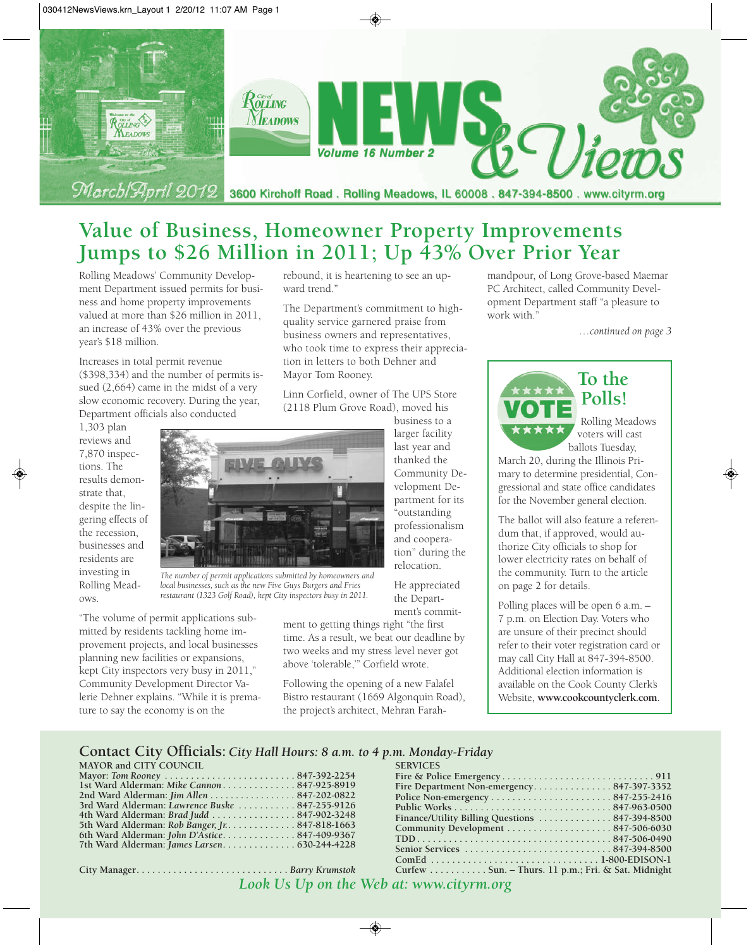

# **Value of Business, Homeowner Property Improvements Jumps to \$26 Million in 2011; Up 43% Over Prior Year**

ward trend."

Mayor Tom Rooney.

rebound, it is heartening to see an up-

The Department's commitment to highquality service garnered praise from business owners and representatives, who took time to express their appreciation in letters to both Dehner and

Linn Corfield, owner of The UPS Store (2118 Plum Grove Road), moved his

Rolling Meadows' Community Development Department issued permits for business and home property improvements valued at more than \$26 million in 2011, an increase of 43% over the previous year's \$18 million.

Increases in total permit revenue (\$398,334) and the number of permits issued (2,664) came in the midst of a very slow economic recovery. During the year, Department officials also conducted

1,303 plan reviews and 7,870 inspections. The results demonstrate that, despite the lingering effects of the recession, businesses and residents are investing in Rolling Meadows.



*The number of permit applications submitted by homeowners and local businesses, such as the new Five Guys Burgers and Fries restaurant (1323 Golf Road), kept City inspectors busy in 2011.*

"The volume of permit applications submitted by residents tackling home improvement projects, and local businesses planning new facilities or expansions, kept City inspectors very busy in 2011," Community Development Director Valerie Dehner explains. "While it is premature to say the economy is on the

larger facility last year and thanked the Community Development Department for its "outstanding professionalism and cooperation" during the relocation.

business to a

He appreciated the Department's commit-

ment to getting things right "the first time. As a result, we beat our deadline by two weeks and my stress level never got above 'tolerable,'" Corfield wrote.

Following the opening of a new Falafel Bistro restaurant (1669 Algonquin Road), the project's architect, Mehran Farahmandpour, of Long Grove-based Maemar PC Architect, called Community Development Department staff "a pleasure to work with."

*…continued on page 3*



# **Polls!**

Rolling Meadows voters will cast ballots Tuesday,

March 20, during the Illinois Primary to determine presidential, Congressional and state office candidates for the November general election.

The ballot will also feature a referendum that, if approved, would authorize City officials to shop for lower electricity rates on behalf of the community. Turn to the article on page 2 for details.

Polling places will be open 6 a.m. – 7 p.m. on Election Day. Voters who are unsure of their precinct should refer to their voter registration card or may call City Hall at 847-394-8500. Additional election information is available on the Cook County Clerk's Website, **www.cookcountyclerk.com**.

#### **Contact City Officials:** *City Hall Hours: 8 a.m. to 4 p.m. Monday-Friday*

| <b>MAYOR and CITY COUNCIL</b>                   |
|-------------------------------------------------|
|                                                 |
| 1st Ward Alderman: Mike Cannon847-925-8919      |
| 2nd Ward Alderman: Jim Allen 847-202-0822       |
| 3rd Ward Alderman: Lawrence Buske  847-255-9126 |
| 4th Ward Alderman: Brad Judd 847-902-3248       |
| 5th Ward Alderman: Rob Banger, Jr. 847-818-1663 |
| 6th Ward Alderman: John D'Astice847-409-9367    |
|                                                 |
|                                                 |

**City Manager. . . . . . . . . . . . . . . . . . . . . . . . . . . . .** *Barry Krumstok*

| <b>SERVICES</b>                                    |
|----------------------------------------------------|
|                                                    |
| Fire Department Non-emergency847-397-3352          |
|                                                    |
|                                                    |
|                                                    |
|                                                    |
|                                                    |
|                                                    |
|                                                    |
| Curfew Sun. - Thurs. 11 p.m.; Fri. & Sat. Midnight |
|                                                    |

*Look Us Up on the Web at: www.cityrm.org*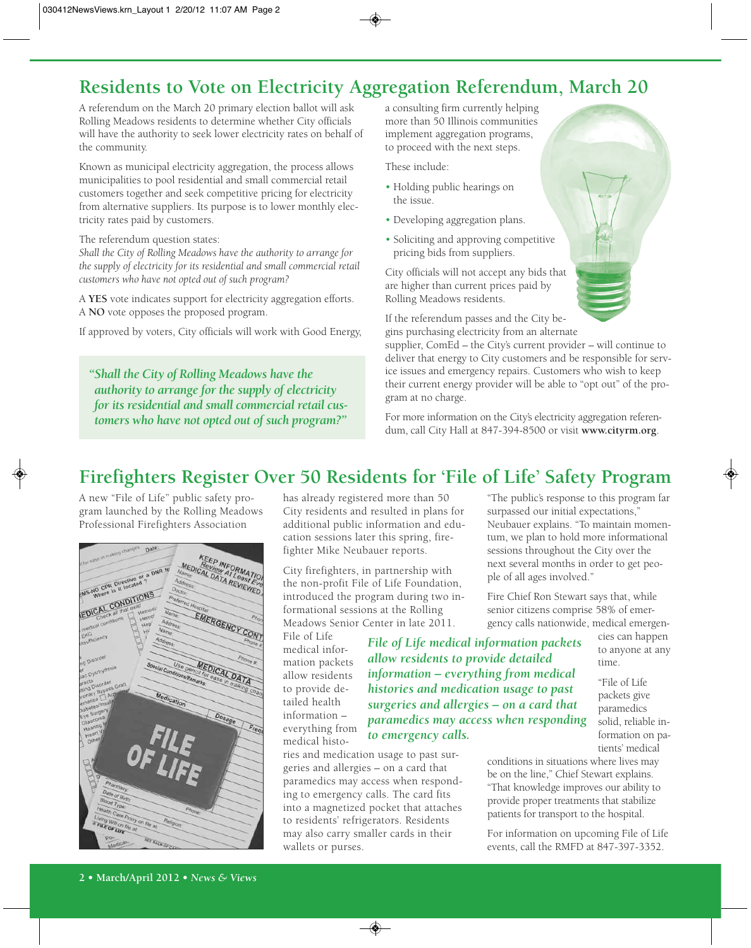## **Residents to Vote on Electricity Aggregation Referendum, March 20**

A referendum on the March 20 primary election ballot will ask Rolling Meadows residents to determine whether City officials will have the authority to seek lower electricity rates on behalf of the community.

Known as municipal electricity aggregation, the process allows municipalities to pool residential and small commercial retail customers together and seek competitive pricing for electricity from alternative suppliers. Its purpose is to lower monthly electricity rates paid by customers.

#### The referendum question states:

*Shall the City of Rolling Meadows have the authority to arrange for the supply of electricity for its residential and small commercial retail customers who have not opted out of such program?*

A **YES** vote indicates support for electricity aggregation efforts. A **NO** vote opposes the proposed program.

If approved by voters, City officials will work with Good Energy,

*"Shall the City of Rolling Meadows have the authority to arrange for the supply of electricity for its residential and small commercial retail customers who have not opted out of such program?"*

a consulting firm currently helping more than 50 Illinois communities implement aggregation programs, to proceed with the next steps.

These include:

- Holding public hearings on the issue.
- Developing aggregation plans.
- Soliciting and approving competitive pricing bids from suppliers.

City officials will not accept any bids that are higher than current prices paid by Rolling Meadows residents.

If the referendum passes and the City begins purchasing electricity from an alternate

supplier, ComEd – the City's current provider – will continue to deliver that energy to City customers and be responsible for service issues and emergency repairs. Customers who wish to keep their current energy provider will be able to "opt out" of the program at no charge.

For more information on the City's electricity aggregation referendum, call City Hall at 847-394-8500 or visit **www.cityrm.org**.

# **Firefighters Register Over 50 Residents for 'File of Life' Safety Program**

A new "File of Life" public safety program launched by the Rolling Meadows Professional Firefighters Association



has already registered more than 50 City residents and resulted in plans for additional public information and education sessions later this spring, firefighter Mike Neubauer reports.

City firefighters, in partnership with the non-profit File of Life Foundation, introduced the program during two informational sessions at the Rolling Meadows Senior Center in late 2011.

File of Life medical information packets allow residents to provide detailed health information – everything from medical histo-

*File of Life medical information packets allow residents to provide detailed information – everything from medical histories and medication usage to past surgeries and allergies – on a card that paramedics may access when responding to emergency calls.*

ries and medication usage to past surgeries and allergies – on a card that paramedics may access when responding to emergency calls. The card fits into a magnetized pocket that attaches to residents' refrigerators. Residents may also carry smaller cards in their wallets or purses.

"The public's response to this program far surpassed our initial expectations," Neubauer explains. "To maintain momentum, we plan to hold more informational sessions throughout the City over the next several months in order to get people of all ages involved."

Fire Chief Ron Stewart says that, while senior citizens comprise 58% of emergency calls nationwide, medical emergen-

cies can happen to anyone at any time.

"File of Life packets give paramedics solid, reliable information on patients' medical

conditions in situations where lives may be on the line," Chief Stewart explains. "That knowledge improves our ability to provide proper treatments that stabilize patients for transport to the hospital.

For information on upcoming File of Life events, call the RMFD at 847-397-3352.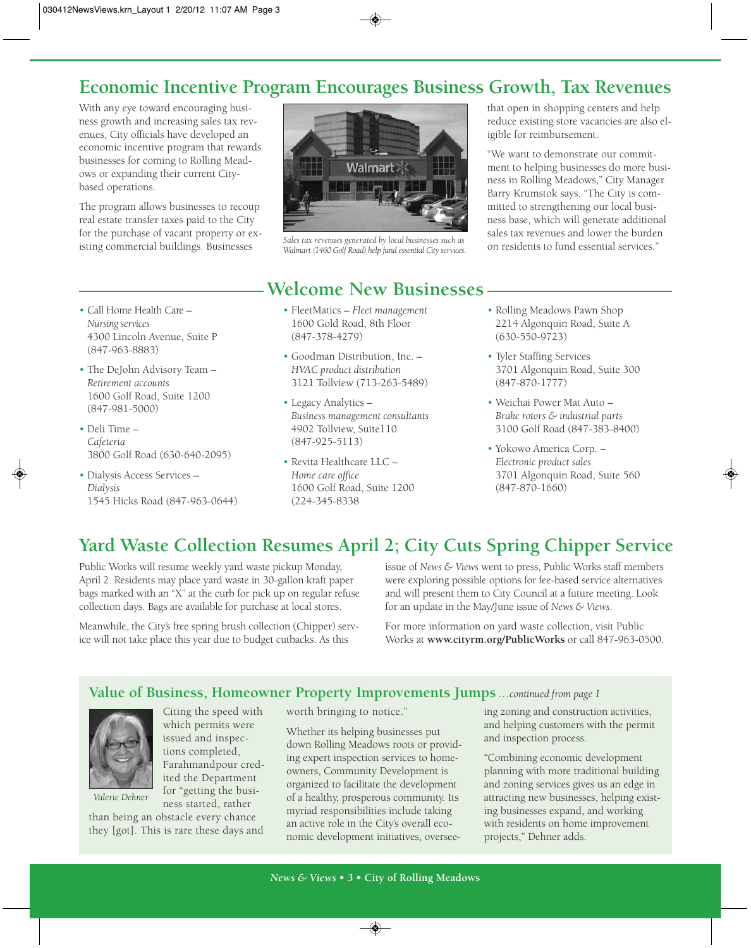### **Economic Incentive Program Encourages Business Growth, Tax Revenues**

With any eye toward encouraging business growth and increasing sales tax revenues, City officials have developed an economic incentive program that rewards businesses for coming to Rolling Meadows or expanding their current Citybased operations.

The program allows businesses to recoup real estate transfer taxes paid to the City for the purchase of vacant property or existing commercial buildings. Businesses

- Call Home Health Care *Nursing services* 4300 Lincoln Avenue, Suite P (847-963-8883)
- The DeJohn Advisory Team *Retirement accounts* 1600 Golf Road, Suite 1200 (847-981-5000)
- Deli Time *Cafeteria* 3800 Golf Road (630-640-2095)
- Dialysis Access Services *Dialysis* 1545 Hicks Road (847-963-0644)



*Sales tax revenues generated by local businesses such as Walmart (1460 Golf Road) help fund essential City services.*

### **Welcome New Businesses**

- FleetMatics *Fleet management* 1600 Gold Road, 8th Floor (847-378-4279)
- Goodman Distribution, Inc. *HVAC product distribution* 3121 Tollview (713-263-5489)
- Legacy Analytics *Business management consultants* 4902 Tollview, Suite110 (847-925-5113)
- Revita Healthcare LLC *Home care office* 1600 Golf Road, Suite 1200 (224-345-8338

that open in shopping centers and help reduce existing store vacancies are also eligible for reimbursement.

"We want to demonstrate our commitment to helping businesses do more business in Rolling Meadows," City Manager Barry Krumstok says. "The City is committed to strengthening our local business base, which will generate additional sales tax revenues and lower the burden on residents to fund essential services."

- Rolling Meadows Pawn Shop 2214 Algonquin Road, Suite A (630-550-9723)
- Tyler Staffing Services 3701 Algonquin Road, Suite 300 (847-870-1777)
- Weichai Power Mat Auto *Brake rotors & industrial parts* 3100 Golf Road (847-383-8400)
- Yokowo America Corp. *Electronic product sales* 3701 Algonquin Road, Suite 560 (847-870-1660)

## **Yard Waste Collection Resumes April 2; City Cuts Spring Chipper Service**

Public Works will resume weekly yard waste pickup Monday, April 2. Residents may place yard waste in 30-gallon kraft paper bags marked with an "X" at the curb for pick up on regular refuse collection days. Bags are available for purchase at local stores.

Meanwhile, the City's free spring brush collection (Chipper) service will not take place this year due to budget cutbacks. As this

issue of *News & Views* went to press, Public Works staff members were exploring possible options for fee-based service alternatives and will present them to City Council at a future meeting. Look for an update in the May/June issue of *News & Views*.

For more information on yard waste collection, visit Public Works at **www.cityrm.org/PublicWorks** or call 847-963-0500.

#### **Value of Business, Homeowner Property Improvements Jumps** *…continued from page 1*



*Valerie Dehner*

Citing the speed with which permits were issued and inspections completed, Farahmandpour credited the Department for "getting the business started, rather

than being an obstacle every chance they [got]. This is rare these days and worth bringing to notice."

Whether its helping businesses put down Rolling Meadows roots or providing expert inspection services to homeowners, Community Development is organized to facilitate the development of a healthy, prosperous community. Its myriad responsibilities include taking an active role in the City's overall economic development initiatives, oversee-

ing zoning and construction activities, and helping customers with the permit and inspection process.

"Combining economic development planning with more traditional building and zoning services gives us an edge in attracting new businesses, helping existing businesses expand, and working with residents on home improvement projects," Dehner adds.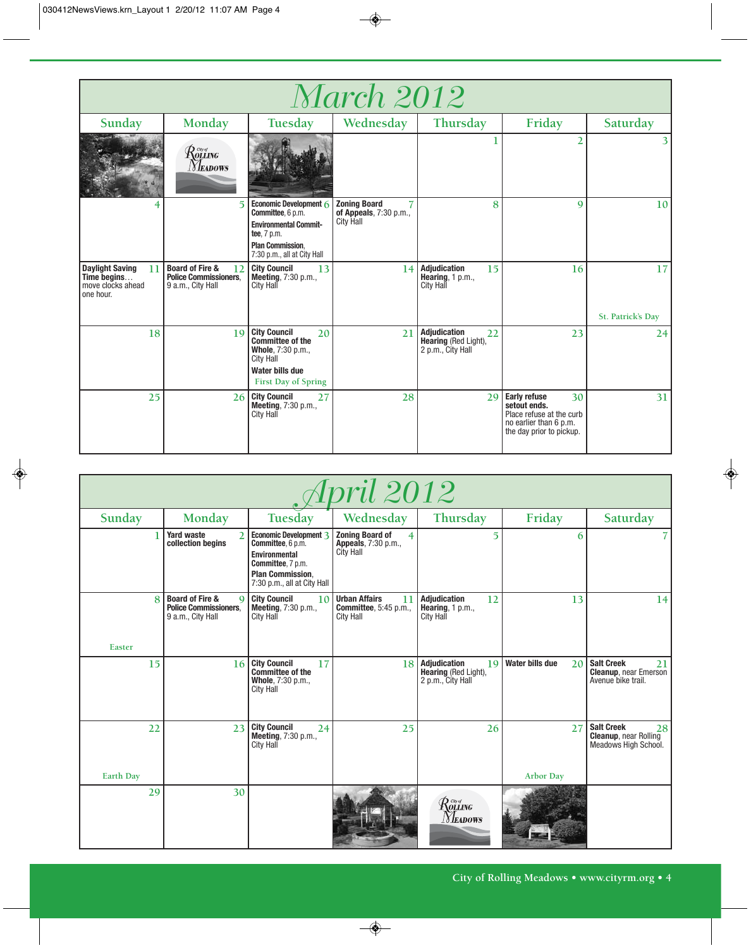| <i>March 2012</i>                                                             |                                                                                       |                                                                                                                                                       |                                                                   |                                                                        |                                                                                                                             |                         |  |  |  |  |
|-------------------------------------------------------------------------------|---------------------------------------------------------------------------------------|-------------------------------------------------------------------------------------------------------------------------------------------------------|-------------------------------------------------------------------|------------------------------------------------------------------------|-----------------------------------------------------------------------------------------------------------------------------|-------------------------|--|--|--|--|
| Sunday                                                                        | Monday                                                                                | Tuesday                                                                                                                                               | Wednesday                                                         | Thursday                                                               | Friday                                                                                                                      | Saturday                |  |  |  |  |
|                                                                               | $\mathcal{R}$ owat ng $\mathcal{R}$<br><i>Neadows</i>                                 |                                                                                                                                                       |                                                                   |                                                                        | 2                                                                                                                           |                         |  |  |  |  |
|                                                                               | $\overline{5}$                                                                        | Economic Development 6<br>Committee, 6 p.m.<br><b>Environmental Commit-</b><br>tee, 7 p.m.<br><b>Plan Commission.</b><br>7:30 p.m., all at City Hall  | <b>Zoning Board</b><br>of Appeals, 7:30 p.m.,<br><b>City Hall</b> | 8                                                                      | 9                                                                                                                           | 10                      |  |  |  |  |
| <b>Daylight Saving</b><br>11<br>Time begins<br>move clocks ahead<br>one hour. | <b>Board of Fire &amp;</b><br>12<br><b>Police Commissioners.</b><br>9 a.m., City Hall | <b>City Council</b><br>13<br><b>Meeting, 7:30 p.m.,</b><br>City Hall                                                                                  | 14                                                                | <b>Adjudication</b><br>15<br>Hearing, $1 p.m.,$<br><b>City Hall</b>    | 16                                                                                                                          | 17<br>St. Patrick's Day |  |  |  |  |
| 18                                                                            | 19                                                                                    | <b>City Council</b><br>20<br><b>Committee of the</b><br>Whole, 7:30 p.m.,<br><b>City Hall</b><br><b>Water bills due</b><br><b>First Day of Spring</b> | 21                                                                | <b>Adjudication</b><br>22<br>Hearing (Red Light),<br>2 p.m., City Hall | 23                                                                                                                          | 24                      |  |  |  |  |
| 25                                                                            |                                                                                       | 26 City Council<br>27<br><b>Meeting, 7:30 p.m.,</b><br><b>City Hall</b>                                                                               | 28                                                                | 29                                                                     | <b>Early refuse</b><br>30<br>setout ends.<br>Place refuse at the curb<br>no earlier than 6 p.m.<br>the day prior to pickup. | 31                      |  |  |  |  |

| <i>[pril 2012</i> |                                                                                                |                                                                                                                                                    |                                                                                 |                                                                     |                                           |                                                                                 |  |  |  |
|-------------------|------------------------------------------------------------------------------------------------|----------------------------------------------------------------------------------------------------------------------------------------------------|---------------------------------------------------------------------------------|---------------------------------------------------------------------|-------------------------------------------|---------------------------------------------------------------------------------|--|--|--|
| Sunday            | Monday                                                                                         | Tuesday                                                                                                                                            | Wednesday                                                                       | Thursday                                                            | Friday                                    | Saturday                                                                        |  |  |  |
|                   | <b>Yard waste</b><br>$\overline{2}$<br>collection begins                                       | Economic Development 3<br>Committee, 6 p.m.<br><b>Environmental</b><br>Committee, 7 p.m.<br><b>Plan Commission.</b><br>7:30 p.m., all at City Hall | <b>Zoning Board of</b><br>4<br>Appeals, 7:30 p.m.,<br><b>City Hall</b>          | 5                                                                   | 6                                         |                                                                                 |  |  |  |
| $\mathbf{8}$      | <b>Board of Fire &amp;</b><br>$\mathbf Q$<br><b>Police Commissioners.</b><br>9 a.m., City Hall | <b>City Council</b><br>10<br><b>Meeting, 7:30 p.m.,</b><br>City Hall                                                                               | <b>Urban Affairs</b><br>11<br><b>Committee</b> , 5:45 p.m.,<br><b>City Hall</b> | <b>Adjudication</b><br>12<br>Hearing, $1 p.m.,$<br><b>City Hall</b> | 13                                        | 14                                                                              |  |  |  |
| Easter            |                                                                                                |                                                                                                                                                    |                                                                                 |                                                                     |                                           |                                                                                 |  |  |  |
| 15                | 16                                                                                             | <b>City Council</b><br>17<br><b>Committee of the</b><br>Whole, 7:30 p.m.,<br><b>City Hall</b>                                                      | 18                                                                              | Adjudication<br>19<br>Hearing (Red Light),<br>2 p.m., City Hall     | <b>Water bills due</b><br>20 <sup>1</sup> | <b>Salt Creek</b><br>21<br><b>Cleanup, near Emerson</b><br>Avenue bike trail.   |  |  |  |
| 22                | 23                                                                                             | <b>City Council</b><br>24<br>Meeting, 7:30 p.m.,<br>City Hall                                                                                      | 25                                                                              | 26                                                                  | 27                                        | <b>Salt Creek</b><br>28<br><b>Cleanup, near Rolling</b><br>Meadows High School. |  |  |  |
| <b>Earth Day</b>  |                                                                                                |                                                                                                                                                    |                                                                                 |                                                                     | <b>Arbor Day</b>                          |                                                                                 |  |  |  |
| 29                | 30                                                                                             |                                                                                                                                                    |                                                                                 | $\mathcal{R}$ ovative<br><b>NEADOWS</b>                             |                                           |                                                                                 |  |  |  |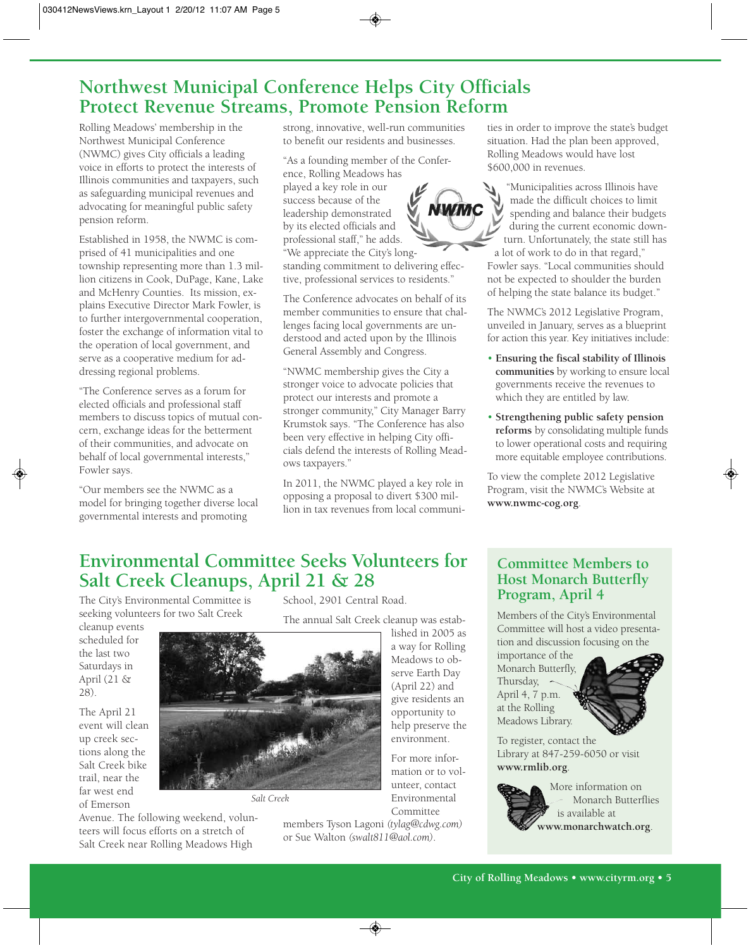### **Northwest Municipal Conference Helps City Officials Protect Revenue Streams, Promote Pension Reform**

Rolling Meadows' membership in the Northwest Municipal Conference (NWMC) gives City officials a leading voice in efforts to protect the interests of Illinois communities and taxpayers, such as safeguarding municipal revenues and advocating for meaningful public safety pension reform.

Established in 1958, the NWMC is comprised of 41 municipalities and one township representing more than 1.3 million citizens in Cook, DuPage, Kane, Lake and McHenry Counties. Its mission, explains Executive Director Mark Fowler, is to further intergovernmental cooperation, foster the exchange of information vital to the operation of local government, and serve as a cooperative medium for addressing regional problems.

"The Conference serves as a forum for elected officials and professional staff members to discuss topics of mutual concern, exchange ideas for the betterment of their communities, and advocate on behalf of local governmental interests," Fowler says.

"Our members see the NWMC as a model for bringing together diverse local governmental interests and promoting

strong, innovative, well-run communities to benefit our residents and businesses.

"As a founding member of the Conference, Rolling Meadows has played a key role in our success because of the leadership demonstrated by its elected officials and professional staff," he adds. "We appreciate the City's longstanding commitment to delivering effective, professional services to residents."

The Conference advocates on behalf of its member communities to ensure that challenges facing local governments are understood and acted upon by the Illinois General Assembly and Congress.

"NWMC membership gives the City a stronger voice to advocate policies that protect our interests and promote a stronger community," City Manager Barry Krumstok says. "The Conference has also been very effective in helping City officials defend the interests of Rolling Meadows taxpayers."

In 2011, the NWMC played a key role in opposing a proposal to divert \$300 million in tax revenues from local communities in order to improve the state's budget situation. Had the plan been approved, Rolling Meadows would have lost \$600,000 in revenues.

"Municipalities across Illinois have made the difficult choices to limit spending and balance their budgets during the current economic downturn. Unfortunately, the state still has a lot of work to do in that regard," Fowler says. "Local communities should not be expected to shoulder the burden of helping the state balance its budget."

The NWMC's 2012 Legislative Program, unveiled in January, serves as a blueprint for action this year. Key initiatives include:

- **Ensuring the fiscal stability of Illinois communities** by working to ensure local governments receive the revenues to which they are entitled by law.
- **Strengthening public safety pension reforms** by consolidating multiple funds to lower operational costs and requiring more equitable employee contributions.

To view the complete 2012 Legislative Program, visit the NWMC's Website at **www.nwmc-cog.org**.

### **Environmental Committee Seeks Volunteers for Salt Creek Cleanups, April 21 & 28**

*Salt Creek*

The City's Environmental Committee is seeking volunteers for two Salt Creek

Avenue. The following weekend, volunteers will focus efforts on a stretch of Salt Creek near Rolling Meadows High

cleanup events scheduled for the last two Saturdays in April (21 & 28).

The April 21 event will clean up creek sections along the Salt Creek bike trail, near the far west end of Emerson



School, 2901 Central Road.

lished in 2005 as a way for Rolling Meadows to observe Earth Day (April 22) and give residents an opportunity to help preserve the environment.

For more information or to volunteer, contact Environmental Committee

members Tyson Lagoni *(tylag@cdwg.com)* or Sue Walton *(swalt811@aol.com)*.

#### **Committee Members to Host Monarch Butterfly Program, April 4**

Members of the City's Environmental Committee will host a video presentation and discussion focusing on the

importance of the Monarch Butterfly, Thursday, April 4, 7 p.m. at the Rolling Meadows Library.



To register, contact the Library at 847-259-6050 or visit **www.rmlib.org**.

> More information on Monarch Butterflies is available at **www.monarchwatch.org**.